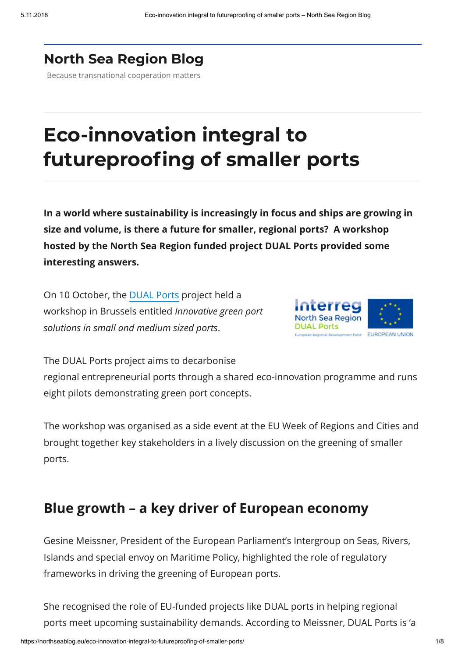#### **North Sea [Region](https://northseablog.eu/) Blog**

Because transnational cooperation matters

# **Eco-innovation integral to futureproofing of smaller ports**

**In a world where sustainability is increasingly in focus and ships are growing in size and volume, is there a future for smaller, regional ports? A workshop hosted by the North Sea Region funded project DUAL Ports provided some interesting answers.**

On 10 October, the [DUAL Ports](https://www.dualports.eu/) project held a workshop in Brussels entitled *Innovative green port solutions in small and medium sized ports*.



The DUAL Ports project aims to decarbonise regional entrepreneurial ports through a shared eco-innovation programme and runs eight pilots demonstrating green port concepts.

The workshop was organised as a side event at the EU Week of Regions and Cities and brought together key stakeholders in a lively discussion on the greening of smaller ports.

### **Blue growth – a key driver of European economy**

Gesine Meissner, President of the European Parliament's Intergroup on Seas, Rivers, Islands and special envoy on Maritime Policy, highlighted the role of regulatory frameworks in driving the greening of European ports.

She recognised the role of EU-funded projects like DUAL ports in helping regional ports meet upcoming sustainability demands. According to Meissner, DUAL Ports is 'a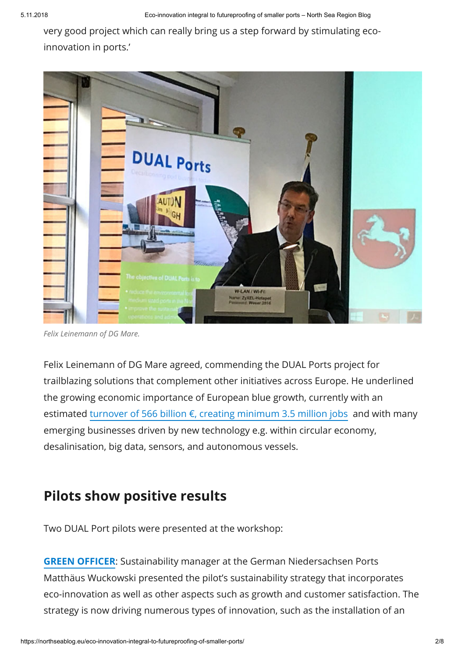very good project which can really bring us a step forward by stimulating ecoinnovation in ports.'



*Felix Leinemann of DG Mare.*

Felix Leinemann of DG Mare agreed, commending the DUAL Ports project for trailblazing solutions that complement other initiatives across Europe. He underlined the growing economic importance of European blue growth, currently with an estimated turnover of 566 billion  $\epsilon$ , creating minimum 3.5 million jobs and with many emerging businesses driven by new technology e.g. within circular economy, desalinisation, big data, sensors, and autonomous vessels.

### **Pilots show positive results**

Two DUAL Port pilots were presented at the workshop:

**GREEN [OFFICER](https://www.dualports.eu/green-officer/)**: Sustainability manager at the German Niedersachsen Ports Matthäus Wuckowski presented the pilot's sustainability strategy that incorporates eco-innovation as well as other aspects such as growth and customer satisfaction. The strategy is now driving numerous types of innovation, such as the installation of an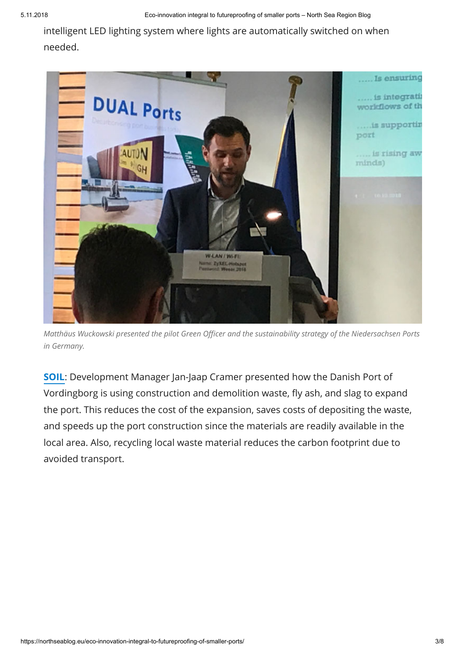intelligent LED lighting system where lights are automatically switched on when needed.



*Matthäus Wuckowski presented the pilot Green Officer and the sustainability strategy of the Niedersachsen Ports in Germany.*

**[SOIL](https://www.dualports.eu/soil/)**: Development Manager Jan-Jaap Cramer presented how the Danish Port of Vordingborg is using construction and demolition waste, fly ash, and slag to expand the port. This reduces the cost of the expansion, saves costs of depositing the waste, and speeds up the port construction since the materials are readily available in the local area. Also, recycling local waste material reduces the carbon footprint due to avoided transport.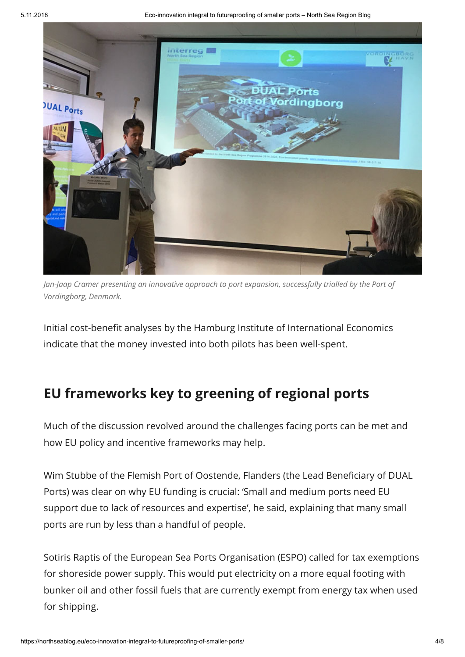

*Jan-Jaap Cramer presenting an innovative approach to port expansion, successfully trialled by the Port of Vordingborg, Denmark.*

Initial cost-benefit analyses by the Hamburg Institute of International Economics indicate that the money invested into both pilots has been well-spent.

### **EU frameworks key to greening of regional ports**

Much of the discussion revolved around the challenges facing ports can be met and how EU policy and incentive frameworks may help.

Wim Stubbe of the Flemish Port of Oostende, Flanders (the Lead Beneficiary of DUAL Ports) was clear on why EU funding is crucial: 'Small and medium ports need EU support due to lack of resources and expertise', he said, explaining that many small ports are run by less than a handful of people.

Sotiris Raptis of the European Sea Ports Organisation (ESPO) called for tax exemptions for shoreside power supply. This would put electricity on a more equal footing with bunker oil and other fossil fuels that are currently exempt from energy tax when used for shipping.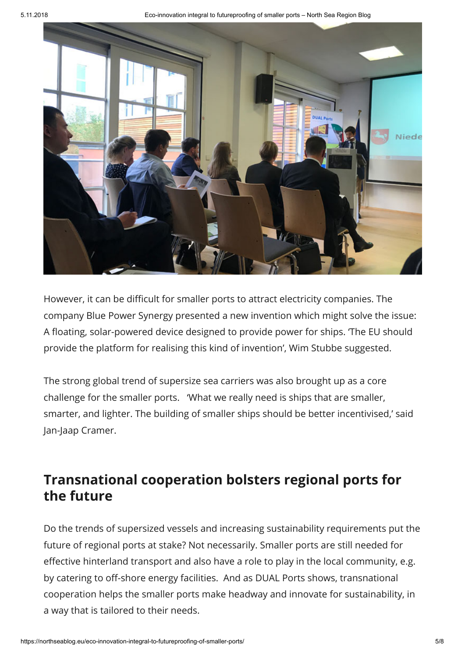

However, it can be difficult for smaller ports to attract electricity companies. The company Blue Power Synergy presented a new invention which might solve the issue: A floating, solar-powered device designed to provide power for ships. 'The EU should provide the platform for realising this kind of invention', Wim Stubbe suggested.

The strong global trend of supersize sea carriers was also brought up as a core challenge for the smaller ports. 'What we really need is ships that are smaller, smarter, and lighter. The building of smaller ships should be better incentivised,' said Jan-Jaap Cramer.

## **Transnational cooperation bolsters regional ports for the future**

Do the trends of supersized vessels and increasing sustainability requirements put the future of regional ports at stake? Not necessarily. Smaller ports are still needed for effective hinterland transport and also have a role to play in the local community, e.g. by catering to off-shore energy facilities. And as DUAL Ports shows, transnational cooperation helps the smaller ports make headway and innovate for sustainability, in a way that is tailored to their needs.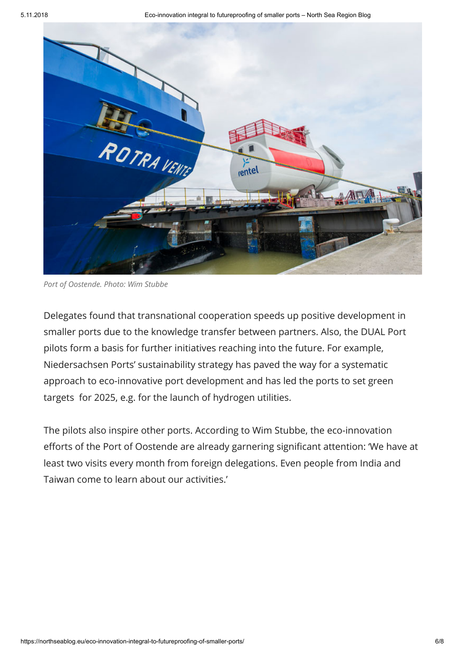

*Port of Oostende. Photo: Wim Stubbe*

Delegates found that transnational cooperation speeds up positive development in smaller ports due to the knowledge transfer between partners. Also, the DUAL Port pilots form a basis for further initiatives reaching into the future. For example, Niedersachsen Ports' sustainability strategy has paved the way for a systematic approach to eco-innovative port development and has led the ports to set green targets for 2025, e.g. for the launch of hydrogen utilities.

The pilots also inspire other ports. According to Wim Stubbe, the eco-innovation efforts of the Port of Oostende are already garnering significant attention: 'We have at least two visits every month from foreign delegations. Even people from India and Taiwan come to learn about our activities.'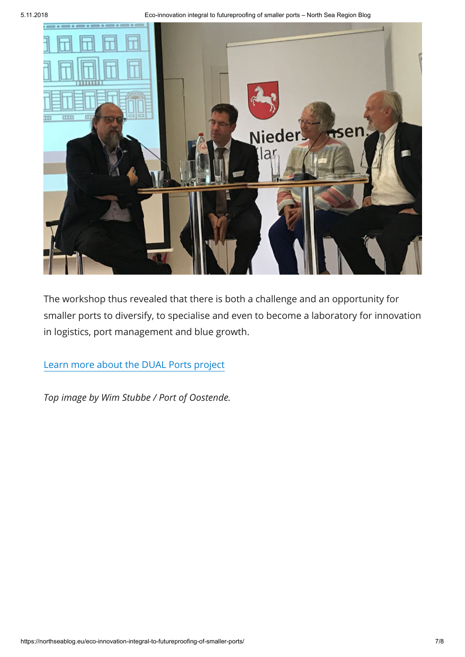

The workshop thus revealed that there is both a challenge and an opportunity for smaller ports to diversify, to specialise and even to become a laboratory for innovation in logistics, port management and blue growth.

[Learn more about the DUAL Ports project](https://www.dualports.eu/)

*Top image by Wim Stubbe / Port of Oostende.*